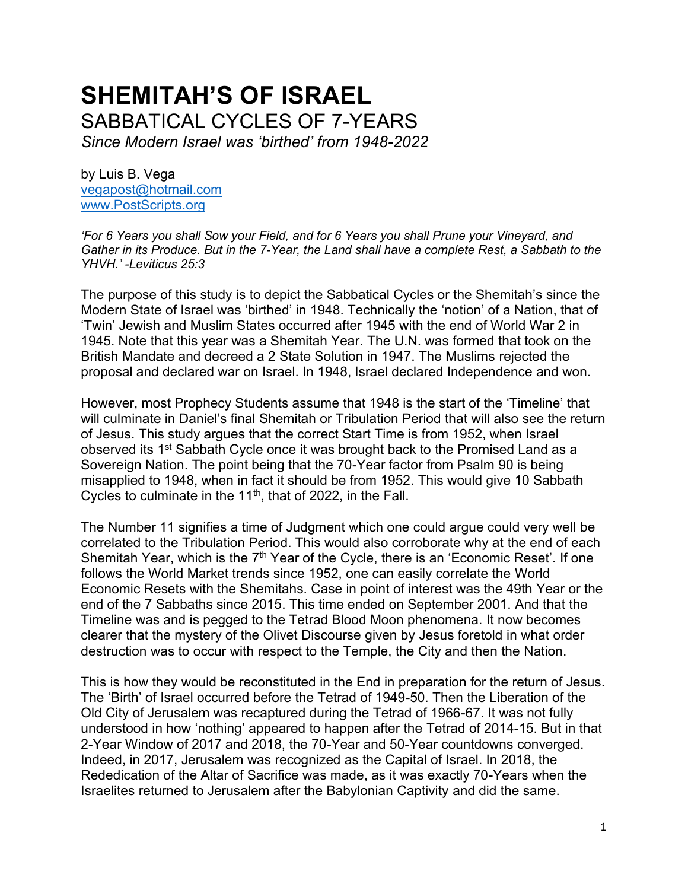# **SHEMITAH'S OF ISRAEL** SABBATICAL CYCLES OF 7-YEARS

*Since Modern Israel was 'birthed' from 1948-2022*

by Luis B. Vega [vegapost@hotmail.com](mailto:vegapost@hotmail.com) [www.PostScripts.org](http://www.postscripts.org/)

*'For 6 Years you shall Sow your Field, and for 6 Years you shall Prune your Vineyard, and Gather in its Produce. But in the 7-Year, the Land shall have a complete Rest, a Sabbath to the YHVH.' -Leviticus 25:3*

The purpose of this study is to depict the Sabbatical Cycles or the Shemitah's since the Modern State of Israel was 'birthed' in 1948. Technically the 'notion' of a Nation, that of 'Twin' Jewish and Muslim States occurred after 1945 with the end of World War 2 in 1945. Note that this year was a Shemitah Year. The U.N. was formed that took on the British Mandate and decreed a 2 State Solution in 1947. The Muslims rejected the proposal and declared war on Israel. In 1948, Israel declared Independence and won.

However, most Prophecy Students assume that 1948 is the start of the 'Timeline' that will culminate in Daniel's final Shemitah or Tribulation Period that will also see the return of Jesus. This study argues that the correct Start Time is from 1952, when Israel observed its 1<sup>st</sup> Sabbath Cycle once it was brought back to the Promised Land as a Sovereign Nation. The point being that the 70-Year factor from Psalm 90 is being misapplied to 1948, when in fact it should be from 1952. This would give 10 Sabbath Cycles to culminate in the  $11<sup>th</sup>$ , that of 2022, in the Fall.

The Number 11 signifies a time of Judgment which one could argue could very well be correlated to the Tribulation Period. This would also corroborate why at the end of each Shemitah Year, which is the  $7<sup>th</sup>$  Year of the Cycle, there is an 'Economic Reset'. If one follows the World Market trends since 1952, one can easily correlate the World Economic Resets with the Shemitahs. Case in point of interest was the 49th Year or the end of the 7 Sabbaths since 2015. This time ended on September 2001. And that the Timeline was and is pegged to the Tetrad Blood Moon phenomena. It now becomes clearer that the mystery of the Olivet Discourse given by Jesus foretold in what order destruction was to occur with respect to the Temple, the City and then the Nation.

This is how they would be reconstituted in the End in preparation for the return of Jesus. The 'Birth' of Israel occurred before the Tetrad of 1949-50. Then the Liberation of the Old City of Jerusalem was recaptured during the Tetrad of 1966-67. It was not fully understood in how 'nothing' appeared to happen after the Tetrad of 2014-15. But in that 2-Year Window of 2017 and 2018, the 70-Year and 50-Year countdowns converged. Indeed, in 2017, Jerusalem was recognized as the Capital of Israel. In 2018, the Rededication of the Altar of Sacrifice was made, as it was exactly 70-Years when the Israelites returned to Jerusalem after the Babylonian Captivity and did the same.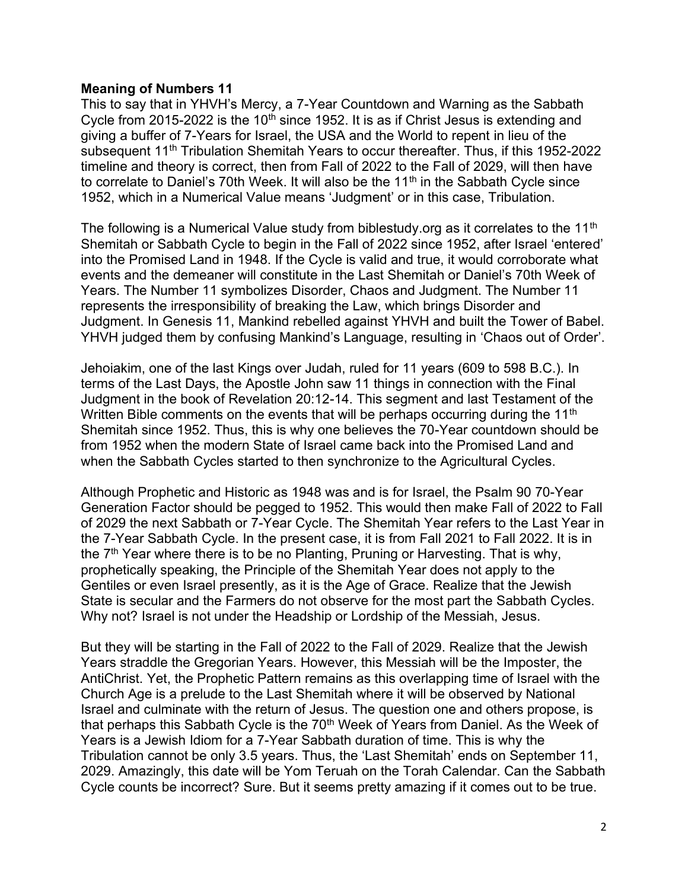#### **Meaning of Numbers 11**

This to say that in YHVH's Mercy, a 7-Year Countdown and Warning as the Sabbath Cycle from 2015-2022 is the 10<sup>th</sup> since 1952. It is as if Christ Jesus is extending and giving a buffer of 7-Years for Israel, the USA and the World to repent in lieu of the subsequent 11<sup>th</sup> Tribulation Shemitah Years to occur thereafter. Thus, if this 1952-2022 timeline and theory is correct, then from Fall of 2022 to the Fall of 2029, will then have to correlate to Daniel's 70th Week. It will also be the 11<sup>th</sup> in the Sabbath Cycle since 1952, which in a Numerical Value means 'Judgment' or in this case, Tribulation.

The following is a Numerical Value study from biblestudy org as it correlates to the 11<sup>th</sup> Shemitah or Sabbath Cycle to begin in the Fall of 2022 since 1952, after Israel 'entered' into the Promised Land in 1948. If the Cycle is valid and true, it would corroborate what events and the demeaner will constitute in the Last Shemitah or Daniel's 70th Week of Years. The Number 11 symbolizes Disorder, Chaos and Judgment. The Number 11 represents the irresponsibility of breaking the Law, which brings Disorder and Judgment. In Genesis 11, Mankind rebelled against YHVH and built the Tower of Babel. YHVH judged them by confusing Mankind's Language, resulting in 'Chaos out of Order'.

Jehoiakim, one of the last Kings over Judah, ruled for 11 years (609 to 598 B.C.). In terms of the Last Days, the Apostle John saw 11 things in connection with the Final Judgment in the book of Revelation 20:12-14. This segment and last Testament of the Written Bible comments on the events that will be perhaps occurring during the 11<sup>th</sup> Shemitah since 1952. Thus, this is why one believes the 70-Year countdown should be from 1952 when the modern State of Israel came back into the Promised Land and when the Sabbath Cycles started to then synchronize to the Agricultural Cycles.

Although Prophetic and Historic as 1948 was and is for Israel, the Psalm 90 70-Year Generation Factor should be pegged to 1952. This would then make Fall of 2022 to Fall of 2029 the next Sabbath or 7-Year Cycle. The Shemitah Year refers to the Last Year in the 7-Year Sabbath Cycle. In the present case, it is from Fall 2021 to Fall 2022. It is in the 7<sup>th</sup> Year where there is to be no Planting, Pruning or Harvesting. That is why, prophetically speaking, the Principle of the Shemitah Year does not apply to the Gentiles or even Israel presently, as it is the Age of Grace. Realize that the Jewish State is secular and the Farmers do not observe for the most part the Sabbath Cycles. Why not? Israel is not under the Headship or Lordship of the Messiah, Jesus.

But they will be starting in the Fall of 2022 to the Fall of 2029. Realize that the Jewish Years straddle the Gregorian Years. However, this Messiah will be the Imposter, the AntiChrist. Yet, the Prophetic Pattern remains as this overlapping time of Israel with the Church Age is a prelude to the Last Shemitah where it will be observed by National Israel and culminate with the return of Jesus. The question one and others propose, is that perhaps this Sabbath Cycle is the 70<sup>th</sup> Week of Years from Daniel. As the Week of Years is a Jewish Idiom for a 7-Year Sabbath duration of time. This is why the Tribulation cannot be only 3.5 years. Thus, the 'Last Shemitah' ends on September 11, 2029. Amazingly, this date will be Yom Teruah on the Torah Calendar. Can the Sabbath Cycle counts be incorrect? Sure. But it seems pretty amazing if it comes out to be true.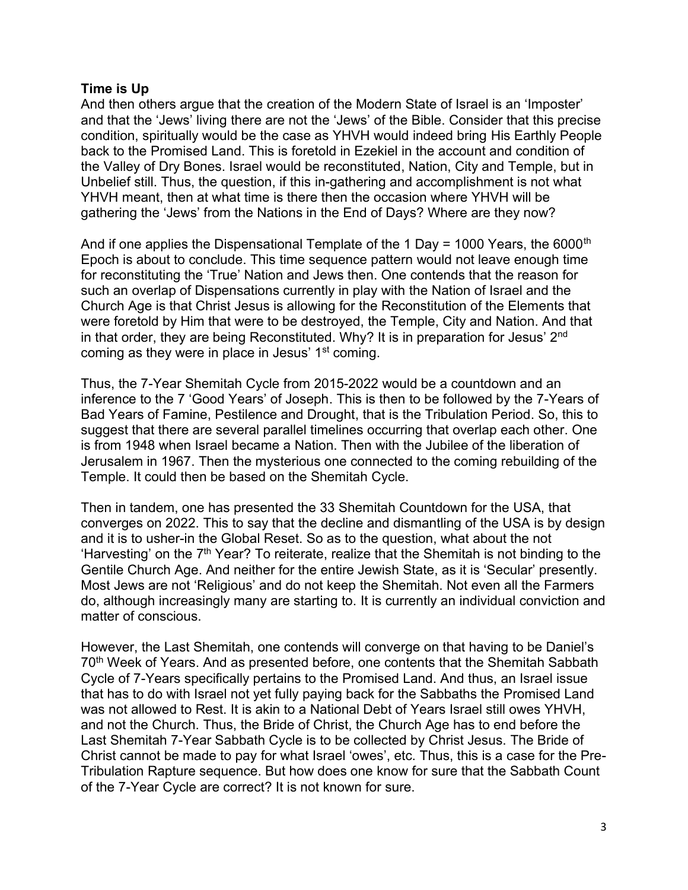### **Time is Up**

And then others argue that the creation of the Modern State of Israel is an 'Imposter' and that the 'Jews' living there are not the 'Jews' of the Bible. Consider that this precise condition, spiritually would be the case as YHVH would indeed bring His Earthly People back to the Promised Land. This is foretold in Ezekiel in the account and condition of the Valley of Dry Bones. Israel would be reconstituted, Nation, City and Temple, but in Unbelief still. Thus, the question, if this in-gathering and accomplishment is not what YHVH meant, then at what time is there then the occasion where YHVH will be gathering the 'Jews' from the Nations in the End of Days? Where are they now?

And if one applies the Dispensational Template of the 1 Day = 1000 Years, the 6000<sup>th</sup> Epoch is about to conclude. This time sequence pattern would not leave enough time for reconstituting the 'True' Nation and Jews then. One contends that the reason for such an overlap of Dispensations currently in play with the Nation of Israel and the Church Age is that Christ Jesus is allowing for the Reconstitution of the Elements that were foretold by Him that were to be destroyed, the Temple, City and Nation. And that in that order, they are being Reconstituted. Why? It is in preparation for Jesus' 2<sup>nd</sup> coming as they were in place in Jesus' 1<sup>st</sup> coming.

Thus, the 7-Year Shemitah Cycle from 2015-2022 would be a countdown and an inference to the 7 'Good Years' of Joseph. This is then to be followed by the 7-Years of Bad Years of Famine, Pestilence and Drought, that is the Tribulation Period. So, this to suggest that there are several parallel timelines occurring that overlap each other. One is from 1948 when Israel became a Nation. Then with the Jubilee of the liberation of Jerusalem in 1967. Then the mysterious one connected to the coming rebuilding of the Temple. It could then be based on the Shemitah Cycle.

Then in tandem, one has presented the 33 Shemitah Countdown for the USA, that converges on 2022. This to say that the decline and dismantling of the USA is by design and it is to usher-in the Global Reset. So as to the question, what about the not 'Harvesting' on the  $7<sup>th</sup>$  Year? To reiterate, realize that the Shemitah is not binding to the Gentile Church Age. And neither for the entire Jewish State, as it is 'Secular' presently. Most Jews are not 'Religious' and do not keep the Shemitah. Not even all the Farmers do, although increasingly many are starting to. It is currently an individual conviction and matter of conscious.

However, the Last Shemitah, one contends will converge on that having to be Daniel's 70<sup>th</sup> Week of Years. And as presented before, one contents that the Shemitah Sabbath Cycle of 7-Years specifically pertains to the Promised Land. And thus, an Israel issue that has to do with Israel not yet fully paying back for the Sabbaths the Promised Land was not allowed to Rest. It is akin to a National Debt of Years Israel still owes YHVH, and not the Church. Thus, the Bride of Christ, the Church Age has to end before the Last Shemitah 7-Year Sabbath Cycle is to be collected by Christ Jesus. The Bride of Christ cannot be made to pay for what Israel 'owes', etc. Thus, this is a case for the Pre-Tribulation Rapture sequence. But how does one know for sure that the Sabbath Count of the 7-Year Cycle are correct? It is not known for sure.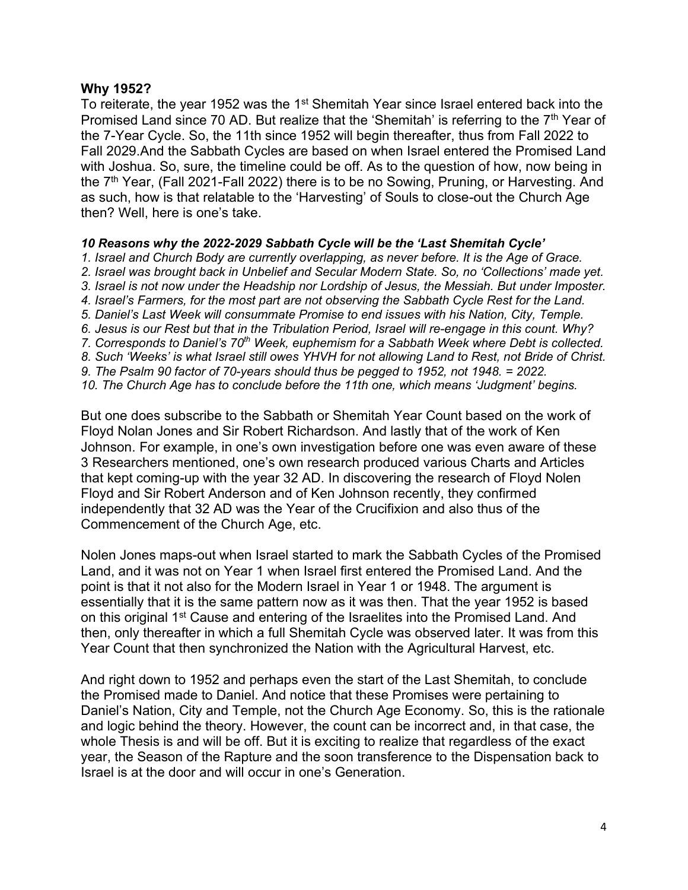#### **Why 1952?**

To reiterate, the year 1952 was the 1<sup>st</sup> Shemitah Year since Israel entered back into the Promised Land since 70 AD. But realize that the 'Shemitah' is referring to the 7<sup>th</sup> Year of the 7-Year Cycle. So, the 11th since 1952 will begin thereafter, thus from Fall 2022 to Fall 2029.And the Sabbath Cycles are based on when Israel entered the Promised Land with Joshua. So, sure, the timeline could be off. As to the question of how, now being in the 7<sup>th</sup> Year, (Fall 2021-Fall 2022) there is to be no Sowing, Pruning, or Harvesting. And as such, how is that relatable to the 'Harvesting' of Souls to close-out the Church Age then? Well, here is one's take.

#### *10 Reasons why the 2022-2029 Sabbath Cycle will be the 'Last Shemitah Cycle'*

*1. Israel and Church Body are currently overlapping, as never before. It is the Age of Grace. 2. Israel was brought back in Unbelief and Secular Modern State. So, no 'Collections' made yet.* 3. Israel is not now under the Headship nor Lordship of Jesus, the Messiah. But under *Imposter*. *4. Israel's Farmers, for the most part are not observing the Sabbath Cycle Rest for the Land. 5. Daniel's Last Week will consummate Promise to end issues with his Nation, City, Temple. 6. Jesus is our Rest but that in the Tribulation Period, Israel will re-engage in this count. Why? 7. Corresponds to Daniel's 70th Week, euphemism for a Sabbath Week where Debt is collected. 8. Such 'Weeks' is what Israel still owes YHVH for not allowing Land to Rest, not Bride of Christ. 9. The Psalm 90 factor of 70-years should thus be pegged to 1952, not 1948. = 2022. 10. The Church Age has to conclude before the 11th one, which means 'Judgment' begins.*

But one does subscribe to the Sabbath or Shemitah Year Count based on the work of Floyd Nolan Jones and Sir Robert Richardson. And lastly that of the work of Ken Johnson. For example, in one's own investigation before one was even aware of these 3 Researchers mentioned, one's own research produced various Charts and Articles that kept coming-up with the year 32 AD. In discovering the research of Floyd Nolen Floyd and Sir Robert Anderson and of Ken Johnson recently, they confirmed independently that 32 AD was the Year of the Crucifixion and also thus of the Commencement of the Church Age, etc.

Nolen Jones maps-out when Israel started to mark the Sabbath Cycles of the Promised Land, and it was not on Year 1 when Israel first entered the Promised Land. And the point is that it not also for the Modern Israel in Year 1 or 1948. The argument is essentially that it is the same pattern now as it was then. That the year 1952 is based on this original 1<sup>st</sup> Cause and entering of the Israelites into the Promised Land. And then, only thereafter in which a full Shemitah Cycle was observed later. It was from this Year Count that then synchronized the Nation with the Agricultural Harvest, etc.

And right down to 1952 and perhaps even the start of the Last Shemitah, to conclude the Promised made to Daniel. And notice that these Promises were pertaining to Daniel's Nation, City and Temple, not the Church Age Economy. So, this is the rationale and logic behind the theory. However, the count can be incorrect and, in that case, the whole Thesis is and will be off. But it is exciting to realize that regardless of the exact year, the Season of the Rapture and the soon transference to the Dispensation back to Israel is at the door and will occur in one's Generation.